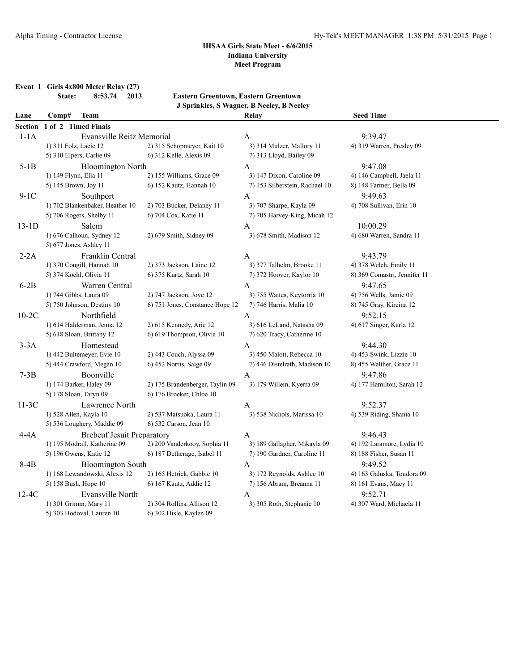**Event 1 Girls 4x800 Meter Relay (27)**

**State: 8:53.74 2013 Eastern Greentown, Eastern Greentown J Sprinkles, S Wagner, B Neeley, B Neeley**

| Lane    | Comp#<br>Team                                         |                                                       | Relay                                                  | <b>Seed Time</b>                                    |
|---------|-------------------------------------------------------|-------------------------------------------------------|--------------------------------------------------------|-----------------------------------------------------|
| Section | 1 of 2 Timed Finals                                   |                                                       |                                                        |                                                     |
| $1-1A$  | <b>Evansville Reitz Memorial</b>                      |                                                       | $\mathbf{A}$                                           | 9:39.47                                             |
|         | 1) 311 Folz, Lacie 12                                 | 2) 315 Schopmeyer, Kait 10                            | 3) 314 Mulzer, Mallory 11                              | 4) 319 Warren, Presley 09                           |
|         | 5) 310 Elpers, Carlie 09                              | 6) 312 Kelle, Alexis 09                               | 7) 313 Lloyd, Bailey 09                                |                                                     |
| $5-1B$  | <b>Bloomington North</b>                              |                                                       | A                                                      | 9:47.08                                             |
|         | 1) 149 Flynn, Ella 11                                 | 2) 155 Williams, Grace 09                             | 3) 147 Dixon, Caroline 09                              | 4) 146 Campbell, Jaela 11                           |
|         | 5) 145 Brown, Joy 11                                  | 6) 152 Kautz, Hannah 10                               | 7) 153 Silberstein, Rachael 10                         | 8) 148 Farmer, Bella 09                             |
| $9-1C$  | Southport                                             |                                                       | A                                                      | 9:49.63                                             |
|         | 1) 702 Blankenbaker, Heather 10                       | 2) 703 Bucker, Delaney 11                             | 3) 707 Sharpe, Kayla 09                                | 4) 708 Sullivan, Erin 10                            |
|         | 5) 706 Rogers, Shelby 11                              | 6) 704 Cox, Katie 11                                  | 7) 705 Harvey-King, Micah 12                           |                                                     |
| $13-1D$ | Salem                                                 |                                                       | $\mathbf{A}$                                           | 10:00.29                                            |
|         | 1) 676 Calhoun, Sydney 12                             | 2) 679 Smith, Sidney 09                               | 3) 678 Smith, Madison 12                               | 4) 680 Warren, Sandra 11                            |
|         | 5) 677 Jones, Ashley 11                               |                                                       |                                                        |                                                     |
| $2-2A$  | Franklin Central                                      |                                                       | A                                                      | 9:43.79                                             |
|         | 1) 370 Cougill, Hannah 10                             | 2) 373 Jackson, Laine 12                              | 3) 377 Talhelm, Brooke 11                              | 4) 378 Welch, Emily 11                              |
|         | 5) 374 Koehl, Olivia 11                               | 6) 375 Kurtz, Sarah 10                                | 7) 372 Hoover, Kaylor 10                               | 8) 369 Comastri, Jennifer 11                        |
| $6-2B$  | Warren Central                                        |                                                       | A                                                      | 9:47.65                                             |
|         | 1) 744 Gibbs, Laura 09                                | 2) 747 Jackson, Joye 12                               | 3) 755 Waites, Keytorria 10                            | 4) 756 Wells, Jamie 09                              |
|         | 5) 750 Johnson, Destiny 10                            | 6) 751 Jones, Constance Hope 12                       | 7) 746 Harris, Malia 10                                | 8) 745 Gray, Kireina 12                             |
| $10-2C$ | Northfield                                            |                                                       | A                                                      | 9:52.15                                             |
|         | 1) 614 Halderman, Jenna 12                            | 2) 615 Kennedy, Arie 12                               | 3) 616 LeLand, Natasha 09                              | 4) 617 Singer, Karla 12                             |
|         | 5) 618 Sloan, Brittany 12                             | 6) 619 Thompson, Olivia 10                            | 7) 620 Tracy, Catherine 10                             |                                                     |
| $3-3A$  | Homestead                                             |                                                       | A                                                      | 9:44.30                                             |
|         | 1) 442 Bultemeyer, Evie 10                            | 2) 443 Couch, Alyssa 09                               | 3) 450 Malott, Rebecca 10                              | 4) 453 Swink, Lizzie 10                             |
|         | 5) 444 Crawford, Megan 10                             | 6) 452 Norris, Saige 09                               | 7) 446 Distelrath, Madison 10                          | 8) 455 Walther, Grace 11                            |
| $7-3B$  | Boonville                                             |                                                       | $\mathbf{A}$                                           | 9:47.86                                             |
|         | 1) 174 Barker, Haley 09                               | 2) 175 Brandenberger, Taylin 09                       | 3) 179 Willem, Kyerra 09                               | 4) 177 Hamilton, Sarah 12                           |
|         | 5) 178 Sloan, Taryn 09                                | 6) 176 Broeker, Chloe 10                              |                                                        |                                                     |
| $11-3C$ | Lawrence North                                        |                                                       | A                                                      | 9:52.37                                             |
|         | 1) 528 Allen, Kayla 10                                | 2) 537 Matsuoka, Laura 11                             | 3) 538 Nichols, Marissa 10                             | 4) 539 Riding, Shania 10                            |
|         | 5) 536 Loughery, Maddie 09                            | 6) 532 Carson, Jean 10                                |                                                        |                                                     |
| $4-4A$  | <b>Brebeuf Jesuit Preparatory</b>                     |                                                       | $\mathbf{A}$                                           | 9:46.43                                             |
|         | 1) 195 Modrall, Katherine 09                          | 2) 200 Vanderkooy, Sophia 11                          | 3) 189 Gallagher, Mikayla 09                           | 4) 192 Laramore, Lydia 10                           |
|         | 5) 196 Owens, Katie 12                                | 6) 187 Detherage, Isabel 11                           | 7) 190 Gardner, Caroline 11                            | 8) 188 Fisher, Susan 11                             |
| 8-4B    | <b>Bloomington South</b>                              |                                                       | $\mathbf{A}$                                           | 9:49.52                                             |
|         | 1) 168 Lewandowski, Alexis 12<br>5) 158 Bush, Hope 10 | 2) 165 Hetrick, Gabbie 10<br>6) 167 Kautz, Addie 12   | 3) 172 Reynolds, Ashlee 10<br>7) 156 Abram, Breanna 11 | 4) 163 Galuska, Toudora 09<br>8) 161 Evans, Macy 11 |
|         |                                                       |                                                       |                                                        |                                                     |
| $12-4C$ | Evansville North<br>1) 301 Grimm, Mary 11             |                                                       | A                                                      | 9:52.71                                             |
|         | 5) 303 Hodoval, Lauren 10                             | 2) 304 Rollins, Allison 12<br>6) 302 Hisle, Kaylen 09 | 3) 305 Roth, Stephanie 10                              | 4) 307 Ward, Michaela 11                            |
|         |                                                       |                                                       |                                                        |                                                     |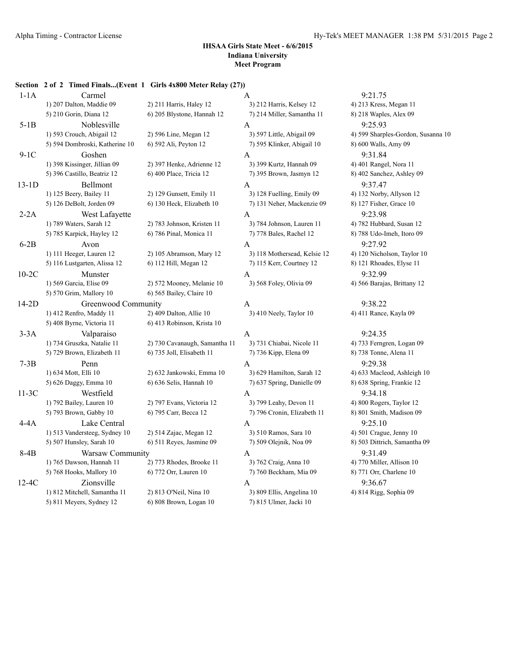#### **Section 2 of 2 Timed Finals...(Event 1 Girls 4x800 Meter Relay (27))**

| $1-1A$  | Carmel                         |                               | $\mathbf{A}$                 | 9:21.75                            |
|---------|--------------------------------|-------------------------------|------------------------------|------------------------------------|
|         | 1) 207 Dalton, Maddie 09       | 2) 211 Harris, Haley 12       | 3) 212 Harris, Kelsey 12     | 4) 213 Kress, Megan 11             |
|         | 5) 210 Gorin, Diana 12         | 6) 205 Blystone, Hannah 12    | 7) 214 Miller, Samantha 11   | 8) 218 Waples, Alex 09             |
| $5-1B$  | Noblesville                    |                               | A                            | 9:25.93                            |
|         | 1) 593 Crouch, Abigail 12      | 2) 596 Line, Megan 12         | 3) 597 Little, Abigail 09    | 4) 599 Sharples-Gordon, Susanna 10 |
|         | 5) 594 Dombroski, Katherine 10 | 6) 592 Ali, Peyton 12         | 7) 595 Klinker, Abigail 10   | 8) 600 Walls, Amy 09               |
| $9-1C$  | Goshen                         |                               | A                            | 9:31.84                            |
|         | 1) 398 Kissinger, Jillian 09   | 2) 397 Henke, Adrienne 12     | 3) 399 Kurtz, Hannah 09      | 4) 401 Rangel, Nora 11             |
|         | 5) 396 Castillo, Beatriz 12    | 6) 400 Place, Tricia 12       | 7) 395 Brown, Jasmyn 12      | 8) 402 Sanchez, Ashley 09          |
| $13-1D$ | Bellmont                       |                               | $\mathbf{A}$                 | 9:37.47                            |
|         | 1) 125 Beery, Bailey 11        | 2) 129 Gunsett, Emily 11      | 3) 128 Fuelling, Emily 09    | 4) 132 Norby, Allyson 12           |
|         | 5) 126 DeBolt, Jorden 09       | 6) 130 Heck, Elizabeth 10     | 7) 131 Neher, Mackenzie 09   | 8) 127 Fisher, Grace 10            |
| $2-2A$  | West Lafayette                 |                               | A                            | 9:23.98                            |
|         | 1) 789 Waters, Sarah 12        | 2) 783 Johnson, Kristen 11    | 3) 784 Johnson, Lauren 11    | 4) 782 Hubbard, Susan 12           |
|         | 5) 785 Karpick, Hayley 12      | 6) 786 Pinal, Monica 11       | 7) 778 Bales, Rachel 12      | 8) 788 Udo-Imeh, Itoro 09          |
| $6-2B$  | Avon                           |                               | A                            | 9:27.92                            |
|         | 1) 111 Heeger, Lauren 12       | 2) 105 Abramson, Mary 12      | 3) 118 Mothersead, Kelsie 12 | 4) 120 Nicholson, Taylor 10        |
|         | 5) 116 Lustgarten, Alissa 12   | 6) 112 Hill, Megan 12         | 7) 115 Kerr, Courtney 12     | 8) 121 Rhoades, Elyse 11           |
| $10-2C$ | Munster                        |                               | A                            | 9:32.99                            |
|         | 1) 569 Garcia, Elise 09        | 2) 572 Mooney, Melanie 10     | 3) 568 Foley, Olivia 09      | 4) 566 Barajas, Brittany 12        |
|         | 5) 570 Grim, Mallory 10        | 6) 565 Bailey, Claire 10      |                              |                                    |
| $14-2D$ | Greenwood Community            |                               | A                            | 9:38.22                            |
|         | 1) 412 Renfro, Maddy 11        | 2) 409 Dalton, Allie 10       | 3) 410 Neely, Taylor 10      | 4) 411 Rance, Kayla 09             |
|         | 5) 408 Byrne, Victoria 11      | 6) 413 Robinson, Krista 10    |                              |                                    |
| $3-3A$  | Valparaiso                     |                               | A                            | 9:24.35                            |
|         | 1) 734 Gruszka, Natalie 11     | 2) 730 Cavanaugh, Samantha 11 | 3) 731 Chiabai, Nicole 11    | 4) 733 Ferngren, Logan 09          |
|         | 5) 729 Brown, Elizabeth 11     | 6) 735 Joll, Elisabeth 11     | 7) 736 Kipp, Elena 09        | 8) 738 Tonne, Alena 11             |
| $7-3B$  | Penn                           |                               | A                            | 9:29.38                            |
|         | 1) 634 Mott, Elli 10           | 2) 632 Jankowski, Emma 10     | 3) 629 Hamilton, Sarah 12    | 4) 633 Macleod, Ashleigh 10        |
|         | 5) 626 Daggy, Emma 10          | 6) 636 Selis, Hannah 10       | 7) 637 Spring, Danielle 09   | 8) 638 Spring, Frankie 12          |
| $11-3C$ | Westfield                      |                               | $\mathbf{A}$                 | 9:34.18                            |
|         | 1) 792 Bailey, Lauren 10       | 2) 797 Evans, Victoria 12     | 3) 799 Leahy, Devon 11       | 4) 800 Rogers, Taylor 12           |
|         | 5) 793 Brown, Gabby 10         | 6) 795 Carr, Becca 12         | 7) 796 Cronin, Elizabeth 11  | 8) 801 Smith, Madison 09           |
| $4-4A$  | Lake Central                   |                               | $\mathbf{A}$                 | 9:25.10                            |
|         | 1) 513 Vandersteeg, Sydney 10  | 2) 514 Zajac, Megan 12        | 3) 510 Ramos, Sara 10        | 4) 501 Crague, Jenny 10            |
|         | 5) 507 Hunsley, Sarah 10       | 6) 511 Reyes, Jasmine 09      | 7) 509 Olejnik, Noa 09       | 8) 503 Dittrich, Samantha 09       |
| $8-4B$  | Warsaw Community               |                               | A                            | 9:31.49                            |
|         | 1) 765 Dawson, Hannah 11       | 2) 773 Rhodes, Brooke 11      | 3) 762 Craig, Anna 10        | 4) 770 Miller, Allison 10          |
|         | 5) 768 Hooks, Mallory 10       | 6) 772 Orr, Lauren 10         | 7) 760 Beckham, Mia 09       | 8) 771 Orr, Charlene 10            |
| $12-4C$ | Zionsville                     |                               | A                            | 9:36.67                            |
|         | 1) 812 Mitchell, Samantha 11   | 2) 813 O'Neil, Nina 10        | 3) 809 Ellis, Angelina 10    | 4) 814 Rigg, Sophia 09             |
|         | 5) 811 Meyers, Sydney 12       | 6) 808 Brown, Logan 10        | 7) 815 Ulmer, Jacki 10       |                                    |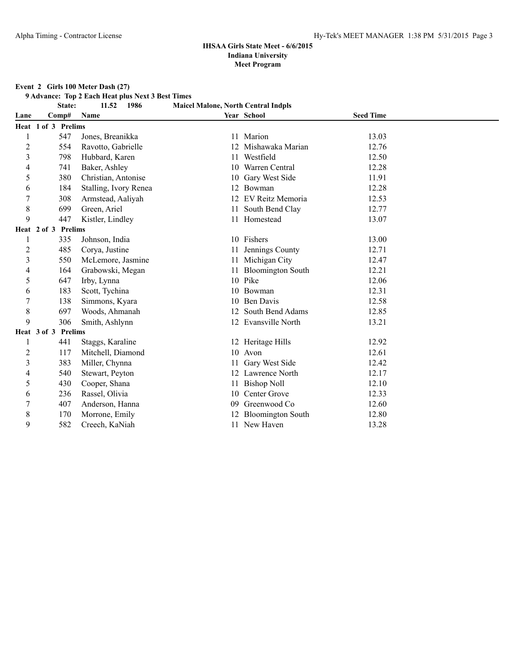**Event 2 Girls 100 Meter Dash (27)**

**9 Advance: Top 2 Each Heat plus Next 3 Best Times**

**State: 11.52 1986 Maicel Malone, North Central Indpls**

| Lane           |                     | Comp#   | Name                  |    | Year School              | <b>Seed Time</b> |  |
|----------------|---------------------|---------|-----------------------|----|--------------------------|------------------|--|
|                | Heat 1 of 3 Prelims |         |                       |    |                          |                  |  |
|                |                     | 547     | Jones, Breanikka      | 11 | Marion                   | 13.03            |  |
| $\overline{c}$ |                     | 554     | Ravotto, Gabrielle    | 12 | Mishawaka Marian         | 12.76            |  |
| 3              |                     | 798     | Hubbard, Karen        |    | Westfield                | 12.50            |  |
| 4              |                     | 741     | Baker, Ashley         |    | 10 Warren Central        | 12.28            |  |
| 5              |                     | 380     | Christian, Antonise   |    | 10 Gary West Side        | 11.91            |  |
| 6              |                     | 184     | Stalling, Ivory Renea | 12 | Bowman                   | 12.28            |  |
| 7              |                     | 308     | Armstead, Aaliyah     | 12 | EV Reitz Memoria         | 12.53            |  |
| 8              |                     | 699     | Green, Ariel          |    | South Bend Clay          | 12.77            |  |
| 9              |                     | 447     | Kistler, Lindley      |    | 11 Homestead             | 13.07            |  |
|                | Heat 2 of 3         | Prelims |                       |    |                          |                  |  |
|                |                     | 335     | Johnson, India        |    | 10 Fishers               | 13.00            |  |
| $\overline{c}$ |                     | 485     | Corya, Justine        |    | Jennings County          | 12.71            |  |
| 3              |                     | 550     | McLemore, Jasmine     |    | Michigan City            | 12.47            |  |
| 4              |                     | 164     | Grabowski, Megan      |    | <b>Bloomington South</b> | 12.21            |  |
| 5              |                     | 647     | Irby, Lynna           |    | 10 Pike                  | 12.06            |  |
| 6              |                     | 183     | Scott, Tychina        |    | 10 Bowman                | 12.31            |  |
| 7              |                     | 138     | Simmons, Kyara        | 10 | Ben Davis                | 12.58            |  |
| 8              |                     | 697     | Woods, Ahmanah        |    | South Bend Adams         | 12.85            |  |
| 9              |                     | 306     | Smith, Ashlynn        |    | 12 Evansville North      | 13.21            |  |
|                | Heat 3 of 3 Prelims |         |                       |    |                          |                  |  |
|                |                     | 441     | Staggs, Karaline      |    | 12 Heritage Hills        | 12.92            |  |
| $\overline{c}$ |                     | 117     | Mitchell, Diamond     |    | 10 Avon                  | 12.61            |  |
| 3              |                     | 383     | Miller, Chynna        |    | Gary West Side           | 12.42            |  |
| 4              |                     | 540     | Stewart, Peyton       |    | 12 Lawrence North        | 12.17            |  |
| 5              |                     | 430     | Cooper, Shana         | 11 | <b>Bishop Noll</b>       | 12.10            |  |
| 6              |                     | 236     | Rassel, Olivia        |    | 10 Center Grove          | 12.33            |  |
| 7              |                     | 407     | Anderson, Hanna       | 09 | Greenwood Co             | 12.60            |  |
| 8              |                     | 170     | Morrone, Emily        |    | 12 Bloomington South     | 12.80            |  |
| 9              |                     | 582     | Creech, KaNiah        |    | 11 New Haven             | 13.28            |  |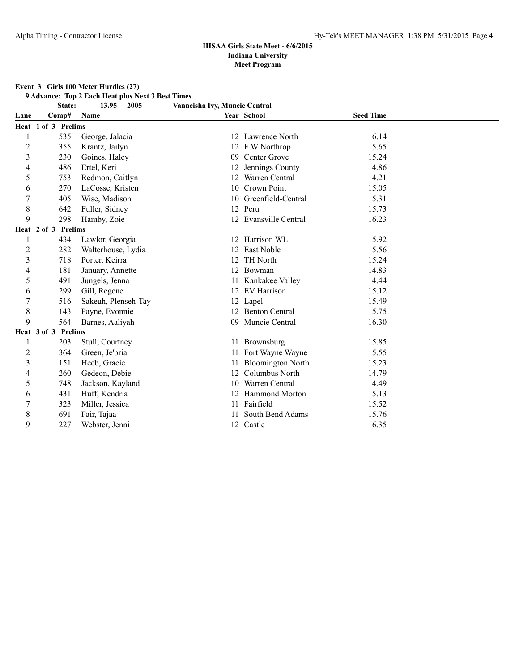**Event 3 Girls 100 Meter Hurdles (27)**

**9 Advance: Top 2 Each Heat plus Next 3 Best Times**

**State: 13.95 2005 Vanneisha Ivy, Muncie Central**

| Lane           | Comp#                         | Name                |    | Year School              | <b>Seed Time</b> |  |
|----------------|-------------------------------|---------------------|----|--------------------------|------------------|--|
|                | Heat 1 of 3 Prelims           |                     |    |                          |                  |  |
|                | 535                           | George, Jalacia     |    | 12 Lawrence North        | 16.14            |  |
| $\overline{c}$ | 355                           | Krantz, Jailyn      |    | 12 F W Northrop          | 15.65            |  |
| 3              | 230                           | Goines, Haley       | 09 | Center Grove             | 15.24            |  |
| 4              | 486                           | Ertel, Keri         |    | Jennings County          | 14.86            |  |
| 5              | 753                           | Redmon, Caitlyn     |    | 12 Warren Central        | 14.21            |  |
| 6              | 270                           | LaCosse, Kristen    | 10 | Crown Point              | 15.05            |  |
|                | 405                           | Wise, Madison       | 10 | Greenfield-Central       | 15.31            |  |
| 8              | 642                           | Fuller, Sidney      |    | 12 Peru                  | 15.73            |  |
| 9              | 298                           | Hamby, Zoie         |    | 12 Evansville Central    | 16.23            |  |
|                | <b>Prelims</b><br>Heat 2 of 3 |                     |    |                          |                  |  |
|                | 434                           | Lawlor, Georgia     |    | 12 Harrison WL           | 15.92            |  |
| 2              | 282                           | Walterhouse, Lydia  |    | 12 East Noble            | 15.56            |  |
| 3              | 718                           | Porter, Keirra      |    | 12 TH North              | 15.24            |  |
| 4              | 181                           | January, Annette    |    | Bowman                   | 14.83            |  |
| 5              | 491                           | Jungels, Jenna      |    | 11 Kankakee Valley       | 14.44            |  |
| 6              | 299                           | Gill, Regene        |    | 12 EV Harrison           | 15.12            |  |
|                | 516                           | Sakeuh, Plenseh-Tay |    | 12 Lapel                 | 15.49            |  |
| 8              | 143                           | Payne, Evonnie      |    | 12 Benton Central        | 15.75            |  |
| 9              | 564                           | Barnes, Aaliyah     |    | 09 Muncie Central        | 16.30            |  |
|                | Heat 3 of 3<br><b>Prelims</b> |                     |    |                          |                  |  |
|                | 203                           | Stull, Courtney     |    | 11 Brownsburg            | 15.85            |  |
| 2              | 364                           | Green, Je'bria      |    | 11 Fort Wayne Wayne      | 15.55            |  |
| 3              | 151                           | Heeb, Gracie        |    | <b>Bloomington North</b> | 15.23            |  |
| 4              | 260                           | Gedeon, Debie       | 12 | Columbus North           | 14.79            |  |
| 5              | 748                           | Jackson, Kayland    | 10 | Warren Central           | 14.49            |  |
| 6              | 431                           | Huff, Kendria       |    | <b>Hammond Morton</b>    | 15.13            |  |
|                | 323                           | Miller, Jessica     |    | Fairfield                | 15.52            |  |
| 8              | 691                           | Fair, Tajaa         |    | South Bend Adams         | 15.76            |  |
| 9              | 227                           | Webster, Jenni      |    | 12 Castle                | 16.35            |  |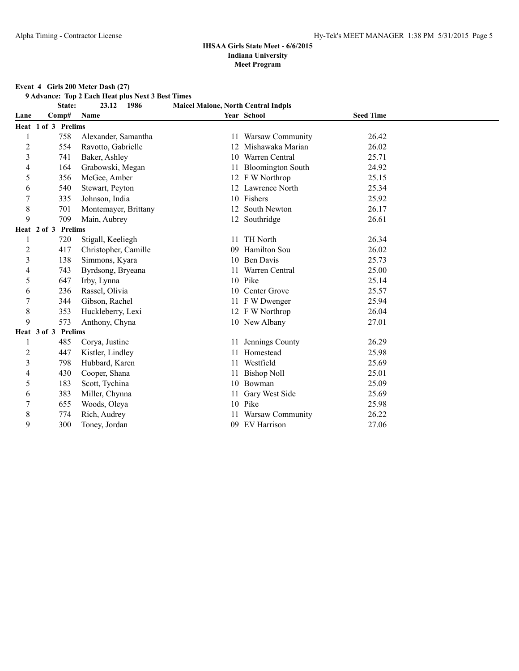**Event 4 Girls 200 Meter Dash (27)**

**9 Advance: Top 2 Each Heat plus Next 3 Best Times**

**State: 23.12 1986 Maicel Malone, North Central Indpls**

| Lane           |                     | Comp#          | Name                 |    | Year School              | <b>Seed Time</b> |  |
|----------------|---------------------|----------------|----------------------|----|--------------------------|------------------|--|
|                | Heat 1 of 3 Prelims |                |                      |    |                          |                  |  |
|                |                     | 758            | Alexander, Samantha  |    | 11 Warsaw Community      | 26.42            |  |
| $\overline{c}$ |                     | 554            | Ravotto, Gabrielle   | 12 | Mishawaka Marian         | 26.02            |  |
| 3              |                     | 741            | Baker, Ashley        | 10 | Warren Central           | 25.71            |  |
| 4              |                     | 164            | Grabowski, Megan     |    | <b>Bloomington South</b> | 24.92            |  |
| 5              |                     | 356            | McGee, Amber         |    | 12 F W Northrop          | 25.15            |  |
| 6              |                     | 540            | Stewart, Peyton      |    | 12 Lawrence North        | 25.34            |  |
|                |                     | 335            | Johnson, India       |    | 10 Fishers               | 25.92            |  |
| 8              |                     | 701            | Montemayer, Brittany | 12 | <b>South Newton</b>      | 26.17            |  |
| 9              |                     | 709            | Main, Aubrey         |    | 12 Southridge            | 26.61            |  |
|                | Heat 2 of 3         | <b>Prelims</b> |                      |    |                          |                  |  |
|                |                     | 720            | Stigall, Keeliegh    |    | TH North                 | 26.34            |  |
| 2              |                     | 417            | Christopher, Camille | 09 | Hamilton Sou             | 26.02            |  |
| 3              |                     | 138            | Simmons, Kyara       | 10 | <b>Ben Davis</b>         | 25.73            |  |
| 4              |                     | 743            | Byrdsong, Bryeana    |    | Warren Central           | 25.00            |  |
| 5              |                     | 647            | Irby, Lynna          | 10 | Pike                     | 25.14            |  |
| 6              |                     | 236            | Rassel, Olivia       | 10 | Center Grove             | 25.57            |  |
| 7              |                     | 344            | Gibson, Rachel       |    | 11 F W Dwenger           | 25.94            |  |
| 8              |                     | 353            | Huckleberry, Lexi    |    | 12 F W Northrop          | 26.04            |  |
| 9              |                     | 573            | Anthony, Chyna       |    | 10 New Albany            | 27.01            |  |
|                | Heat $3$ of $3$     | <b>Prelims</b> |                      |    |                          |                  |  |
|                |                     | 485            | Corya, Justine       | 11 | Jennings County          | 26.29            |  |
| 2              |                     | 447            | Kistler, Lindley     |    | Homestead                | 25.98            |  |
| 3              |                     | 798            | Hubbard, Karen       |    | Westfield                | 25.69            |  |
| 4              |                     | 430            | Cooper, Shana        |    | <b>Bishop Noll</b>       | 25.01            |  |
| 5              |                     | 183            | Scott, Tychina       | 10 | Bowman                   | 25.09            |  |
| 6              |                     | 383            | Miller, Chynna       |    | Gary West Side           | 25.69            |  |
| 7              |                     | 655            | Woods, Oleya         | 10 | Pike                     | 25.98            |  |
| 8              |                     | 774            | Rich, Audrey         |    | Warsaw Community         | 26.22            |  |
| 9              |                     | 300            | Toney, Jordan        | 09 | <b>EV Harrison</b>       | 27.06            |  |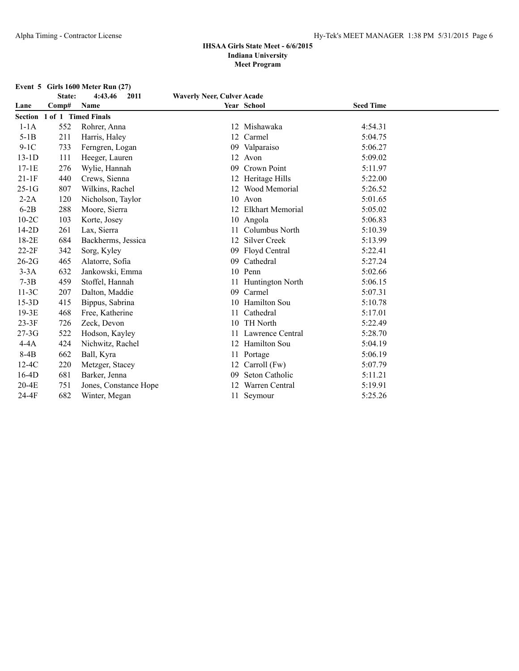**Event 5 Girls 1600 Meter Run (27)**

|           | State:                      | 4:43.46<br>2011       | <b>Waverly Neer, Culver Acade</b> |                         |                  |  |
|-----------|-----------------------------|-----------------------|-----------------------------------|-------------------------|------------------|--|
| Lane      | Comp#                       | <b>Name</b>           |                                   | Year School             | <b>Seed Time</b> |  |
|           | Section 1 of 1 Timed Finals |                       |                                   |                         |                  |  |
| $1-1A$    | 552                         | Rohrer, Anna          | 12                                | Mishawaka               | 4:54.31          |  |
| $5-1B$    | 211                         | Harris, Haley         | 12                                | Carmel                  | 5:04.75          |  |
| $9-1C$    | 733                         | Ferngren, Logan       | 09                                | Valparaiso              | 5:06.27          |  |
| $13-1D$   | 111                         | Heeger, Lauren        | 12                                | Avon                    | 5:09.02          |  |
| $17 - 1E$ | 276                         | Wylie, Hannah         | 09                                | Crown Point             | 5:11.97          |  |
| $21-1F$   | 440                         | Crews, Sienna         | 12                                | Heritage Hills          | 5:22.00          |  |
| $25-1G$   | 807                         | Wilkins, Rachel       | 12                                | Wood Memorial           | 5:26.52          |  |
| $2-2A$    | 120                         | Nicholson, Taylor     | 10                                | Avon                    | 5:01.65          |  |
| $6-2B$    | 288                         | Moore, Sierra         | 12                                | <b>Elkhart Memorial</b> | 5:05.02          |  |
| $10-2C$   | 103                         | Korte, Josey          | 10                                | Angola                  | 5:06.83          |  |
| $14-2D$   | 261                         | Lax, Sierra           | 11                                | Columbus North          | 5:10.39          |  |
| $18-2E$   | 684                         | Backherms, Jessica    | 12                                | <b>Silver Creek</b>     | 5:13.99          |  |
| $22-2F$   | 342                         | Sorg, Kyley           | 09                                | Floyd Central           | 5:22.41          |  |
| $26-2G$   | 465                         | Alatorre, Sofia       | 09                                | Cathedral               | 5:27.24          |  |
| $3-3A$    | 632                         | Jankowski, Emma       |                                   | 10 Penn                 | 5:02.66          |  |
| $7-3B$    | 459                         | Stoffel, Hannah       |                                   | <b>Huntington North</b> | 5:06.15          |  |
| $11-3C$   | 207                         | Dalton, Maddie        | 09                                | Carmel                  | 5:07.31          |  |
| $15-3D$   | 415                         | Bippus, Sabrina       |                                   | 10 Hamilton Sou         | 5:10.78          |  |
| $19-3E$   | 468                         | Free, Katherine       | 11                                | Cathedral               | 5:17.01          |  |
| $23-3F$   | 726                         | Zeck, Devon           | 10                                | <b>TH</b> North         | 5:22.49          |  |
| $27-3G$   | 522                         | Hodson, Kayley        | 11                                | Lawrence Central        | 5:28.70          |  |
| $4-4A$    | 424                         | Nichwitz, Rachel      | 12                                | <b>Hamilton Sou</b>     | 5:04.19          |  |
| $8-4B$    | 662                         | Ball, Kyra            | 11                                | Portage                 | 5:06.19          |  |
| $12-4C$   | 220                         | Metzger, Stacey       |                                   | Carroll (Fw)            | 5:07.79          |  |
| $16-4D$   | 681                         | Barker, Jenna         | 09                                | Seton Catholic          | 5:11.21          |  |
| $20 - 4E$ | 751                         | Jones, Constance Hope | 12                                | Warren Central          | 5:19.91          |  |
| $24-4F$   | 682                         | Winter, Megan         |                                   | 11 Seymour              | 5:25.26          |  |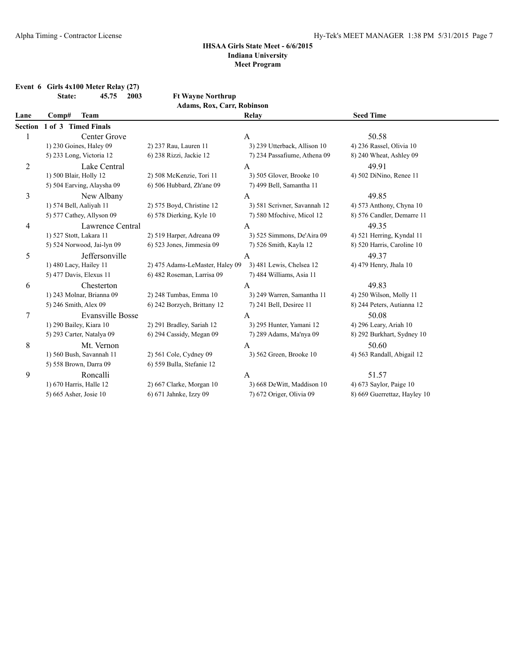**Event 6 Girls 4x100 Meter Relay (27)**

**State: 45.75 2003 Ft Wayne Northrup**

|                | Adams, Rox, Carr, Robinson |                                 |                              |                              |  |  |  |
|----------------|----------------------------|---------------------------------|------------------------------|------------------------------|--|--|--|
| Lane           | Comp#<br><b>Team</b>       |                                 | Relay                        | <b>Seed Time</b>             |  |  |  |
| Section        | 1 of 3 Timed Finals        |                                 |                              |                              |  |  |  |
|                | Center Grove               |                                 | A                            | 50.58                        |  |  |  |
|                | 1) 230 Goines, Haley 09    | 2) 237 Rau, Lauren 11           | 3) 239 Utterback, Allison 10 | 4) 236 Rassel, Olivia 10     |  |  |  |
|                | 5) 233 Long, Victoria 12   | 6) 238 Rizzi, Jackie 12         | 7) 234 Passafiume, Athena 09 | 8) 240 Wheat, Ashley 09      |  |  |  |
| $\overline{c}$ | Lake Central               |                                 | A                            | 49.91                        |  |  |  |
|                | 1) 500 Blair, Holly 12     | 2) 508 McKenzie, Tori 11        | 3) 505 Glover, Brooke 10     | 4) 502 DiNino, Renee 11      |  |  |  |
|                | 5) 504 Earving, Alaysha 09 | 6) 506 Hubbard, Zh'ane 09       | 7) 499 Bell, Samantha 11     |                              |  |  |  |
| 3              | New Albany                 |                                 | А                            | 49.85                        |  |  |  |
|                | 1) 574 Bell, Aaliyah 11    | 2) 575 Boyd, Christine 12       | 3) 581 Scrivner, Savannah 12 | 4) 573 Anthony, Chyna 10     |  |  |  |
|                | 5) 577 Cathey, Allyson 09  | 6) 578 Dierking, Kyle 10        | 7) 580 Mfochive, Micol 12    | 8) 576 Candler, Demarre 11   |  |  |  |
| 4              | Lawrence Central           |                                 | $\mathbf{A}$                 | 49.35                        |  |  |  |
|                | 1) 527 Stott, Lakara 11    | 2) 519 Harper, Adreana 09       | 3) 525 Simmons, De'Aira 09   | 4) 521 Herring, Kyndal 11    |  |  |  |
|                | 5) 524 Norwood, Jai-lyn 09 | 6) 523 Jones, Jimmesia 09       | 7) 526 Smith, Kayla 12       | 8) 520 Harris, Caroline 10   |  |  |  |
| 5              | Jeffersonville             |                                 | A                            | 49.37                        |  |  |  |
|                | 1) 480 Lacy, Hailey 11     | 2) 475 Adams-LeMaster, Haley 09 | 3) 481 Lewis, Chelsea 12     | 4) 479 Henry, Jhala 10       |  |  |  |
|                | 5) 477 Davis, Elexus 11    | 6) 482 Roseman, Larrisa 09      | 7) 484 Williams, Asia 11     |                              |  |  |  |
| 6              | Chesterton                 |                                 | A                            | 49.83                        |  |  |  |
|                | 1) 243 Molnar, Brianna 09  | 2) 248 Tumbas, Emma 10          | 3) 249 Warren, Samantha 11   | 4) 250 Wilson, Molly 11      |  |  |  |
|                | 5) 246 Smith, Alex 09      | 6) 242 Borzych, Brittany 12     | 7) 241 Bell, Desiree 11      | 8) 244 Peters, Autianna 12   |  |  |  |
| 7              | <b>Evansville Bosse</b>    |                                 | A                            | 50.08                        |  |  |  |
|                | 1) 290 Bailey, Kiara 10    | 2) 291 Bradley, Sariah 12       | 3) 295 Hunter, Yamani 12     | 4) 296 Leary, Ariah 10       |  |  |  |
|                | 5) 293 Carter, Natalya 09  | 6) 294 Cassidy, Megan 09        | 7) 289 Adams, Ma'nya 09      | 8) 292 Burkhart, Sydney 10   |  |  |  |
| 8              | Mt. Vernon                 |                                 | $\overline{A}$               | 50.60                        |  |  |  |
|                | 1) 560 Bush, Savannah 11   | 2) 561 Cole, Cydney 09          | 3) 562 Green, Brooke 10      | 4) 563 Randall, Abigail 12   |  |  |  |
|                | 5) 558 Brown, Darra 09     | 6) 559 Bulla, Stefanie 12       |                              |                              |  |  |  |
| 9              | Roncalli                   |                                 | A                            | 51.57                        |  |  |  |
|                | 1) 670 Harris, Halle 12    | 2) 667 Clarke, Morgan 10        | 3) 668 DeWitt, Maddison 10   | 4) 673 Saylor, Paige 10      |  |  |  |
|                | 5) 665 Asher, Josie 10     | 6) 671 Jahnke, Izzy 09          | 7) 672 Origer, Olivia 09     | 8) 669 Guerrettaz, Hayley 10 |  |  |  |
|                |                            |                                 |                              |                              |  |  |  |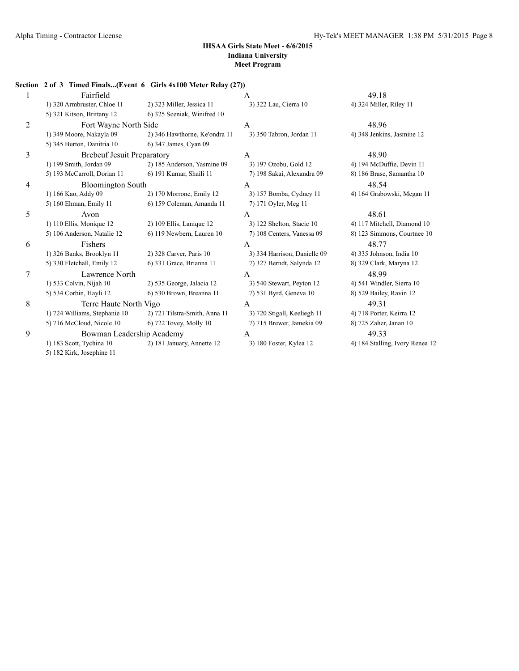|                | Section 2 of 3 Timed Finals(Event 6 Girls 4x100 Meter Relay (27)) |                               |                              |                                 |
|----------------|-------------------------------------------------------------------|-------------------------------|------------------------------|---------------------------------|
| 1              | Fairfield                                                         |                               | A                            | 49.18                           |
|                | 1) 320 Armbruster, Chloe 11                                       | 2) 323 Miller, Jessica 11     | 3) 322 Lau, Cierra 10        | 4) 324 Miller, Riley 11         |
|                | 5) 321 Kitson, Brittany 12                                        | 6) 325 Sceniak, Winifred 10   |                              |                                 |
| $\overline{c}$ | Fort Wayne North Side                                             |                               | A                            | 48.96                           |
|                | 1) 349 Moore, Nakayla 09                                          | 2) 346 Hawthorne, Ke'ondra 11 | 3) 350 Tabron, Jordan 11     | 4) 348 Jenkins, Jasmine 12      |
|                | 5) 345 Burton, Danitria 10                                        | 6) 347 James, Cyan 09         |                              |                                 |
| 3              | <b>Brebeuf Jesuit Preparatory</b>                                 |                               | A                            | 48.90                           |
|                | 1) 199 Smith, Jordan 09                                           | 2) 185 Anderson, Yasmine 09   | 3) 197 Ozobu, Gold 12        | 4) 194 McDuffie, Devin 11       |
|                | 5) 193 McCarroll, Dorian 11                                       | 6) 191 Kumar, Shaili 11       | 7) 198 Sakai, Alexandra 09   | 8) 186 Brase, Samantha 10       |
| 4              | <b>Bloomington South</b>                                          |                               | A                            | 48.54                           |
|                | 1) 166 Kao, Addy 09                                               | 2) 170 Morrone, Emily 12      | 3) 157 Bomba, Cydney 11      | 4) 164 Grabowski, Megan 11      |
|                | 5) 160 Ehman, Emily 11                                            | 6) 159 Coleman, Amanda 11     | 7) 171 Oyler, Meg 11         |                                 |
| 5              | Avon                                                              |                               | A                            | 48.61                           |
|                | 1) 110 Ellis, Monique 12                                          | 2) 109 Ellis, Lanique 12      | 3) 122 Shelton, Stacie 10    | 4) 117 Mitchell, Diamond 10     |
|                | 5) 106 Anderson, Natalie 12                                       | 6) 119 Newbern, Lauren 10     | 7) 108 Centers, Vanessa 09   | 8) 123 Simmons, Courtnee 10     |
| 6              | <b>Fishers</b>                                                    |                               | A                            | 48.77                           |
|                | 1) 326 Banks, Brooklyn 11                                         | 2) 328 Carver, Paris 10       | 3) 334 Harrison, Danielle 09 | 4) 335 Johnson, India 10        |
|                | 5) 330 Fletchall, Emily 12                                        | 6) 331 Grace, Brianna 11      | 7) 327 Berndt, Salynda 12    | 8) 329 Clark, Maryna 12         |
| $\tau$         | Lawrence North                                                    |                               | A                            | 48.99                           |
|                | 1) 533 Colvin, Nijah 10                                           | 2) 535 George, Jalacia 12     | 3) 540 Stewart, Peyton 12    | 4) 541 Windler, Sierra 10       |
|                | 5) 534 Corbin, Hayli 12                                           | 6) 530 Brown, Breanna 11      | 7) 531 Byrd, Geneva 10       | 8) 529 Bailey, Ravin 12         |
| 8              | Terre Haute North Vigo                                            |                               | $\mathbf{A}$                 | 49.31                           |
|                | 1) 724 Williams, Stephanie 10                                     | 2) 721 Tilstra-Smith, Anna 11 | 3) 720 Stigall, Keeliegh 11  | 4) 718 Porter, Keirra 12        |
|                | 5) 716 McCloud, Nicole 10                                         | 6) 722 Tovey, Molly 10        | 7) 715 Brewer, Jamekia 09    | 8) 725 Zaher, Janan 10          |
| 9              | Bowman Leadership Academy                                         |                               | $\mathsf{A}$                 | 49.33                           |
|                | 1) 183 Scott, Tychina 10                                          | 2) 181 January, Annette 12    | 3) 180 Foster, Kylea 12      | 4) 184 Stalling, Ivory Renea 12 |
|                | 5) 182 Kirk, Josephine 11                                         |                               |                              |                                 |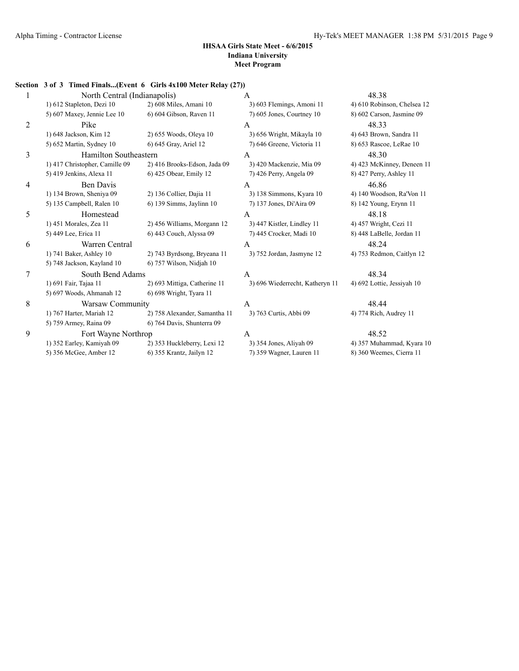|                |                                | Section 3 of 3 Timed Finals(Event 6 Girls 4x100 Meter Relay (27)) |                                 |                             |
|----------------|--------------------------------|-------------------------------------------------------------------|---------------------------------|-----------------------------|
|                | North Central (Indianapolis)   |                                                                   | A                               | 48.38                       |
|                | 1) 612 Stapleton, Dezi 10      | 2) 608 Miles, Amani 10                                            | 3) 603 Flemings, Amoni 11       | 4) 610 Robinson, Chelsea 12 |
|                | 5) 607 Maxey, Jennie Lee 10    | 6) 604 Gibson, Raven 11                                           | 7) 605 Jones, Courtney 10       | 8) 602 Carson, Jasmine 09   |
| $\overline{2}$ | Pike                           |                                                                   | A                               | 48.33                       |
|                | 1) 648 Jackson, Kim 12         | 2) 655 Woods, Oleya 10                                            | 3) 656 Wright, Mikayla 10       | 4) 643 Brown, Sandra 11     |
|                | 5) 652 Martin, Sydney 10       | 6) 645 Gray, Ariel 12                                             | 7) 646 Greene, Victoria 11      | 8) 653 Rascoe, LeRae 10     |
| 3              | Hamilton Southeastern          |                                                                   | A                               | 48.30                       |
|                | 1) 417 Christopher, Camille 09 | 2) 416 Brooks-Edson, Jada 09                                      | 3) 420 Mackenzie, Mia 09        | 4) 423 McKinney, Deneen 11  |
|                | 5) 419 Jenkins, Alexa 11       | 6) 425 Obear, Emily 12                                            | 7) 426 Perry, Angela 09         | 8) 427 Perry, Ashley 11     |
| 4              | <b>Ben Davis</b>               |                                                                   | A                               | 46.86                       |
|                | 1) 134 Brown, Sheniya 09       | 2) 136 Collier, Dajia 11                                          | 3) 138 Simmons, Kyara 10        | 4) 140 Woodson, Ra'Von 11   |
|                | 5) 135 Campbell, Ralen 10      | 6) 139 Simms, Jaylinn 10                                          | 7) 137 Jones, Di'Aira 09        | 8) 142 Young, Erynn 11      |
| 5              | Homestead                      |                                                                   | $\overline{A}$                  | 48.18                       |
|                | 1) 451 Morales, Zea 11         | 2) 456 Williams, Morgann 12                                       | 3) 447 Kistler, Lindley 11      | 4) 457 Wright, Cezi 11      |
|                | 5) 449 Lee, Erica 11           | 6) 443 Couch, Alyssa 09                                           | 7) 445 Crocker, Madi 10         | 8) 448 LaBelle, Jordan 11   |
| 6              | Warren Central                 |                                                                   | A                               | 48.24                       |
|                | 1) 741 Baker, Ashley 10        | 2) 743 Byrdsong, Bryeana 11                                       | 3) 752 Jordan, Jasmyne 12       | 4) 753 Redmon, Caitlyn 12   |
|                | 5) 748 Jackson, Kayland 10     | 6) 757 Wilson, Nidjah 10                                          |                                 |                             |
| 7              | South Bend Adams               |                                                                   | A                               | 48.34                       |
|                | 1) 691 Fair, Tajaa 11          | 2) 693 Mittiga, Catherine 11                                      | 3) 696 Wiederrecht, Katheryn 11 | 4) 692 Lottie, Jessiyah 10  |
|                | 5) 697 Woods, Ahmanah 12       | 6) 698 Wright, Tyara 11                                           |                                 |                             |
| 8              | Warsaw Community               |                                                                   | A                               | 48.44                       |
|                | 1) 767 Harter, Mariah 12       | 2) 758 Alexander, Samantha 11                                     | 3) 763 Curtis, Abbi 09          | 4) 774 Rich, Audrey 11      |
|                | 5) 759 Armey, Raina 09         | 6) 764 Davis, Shunterra 09                                        |                                 |                             |
| 9              | Fort Wayne Northrop            |                                                                   | A                               | 48.52                       |
|                | 1) 352 Earley, Kamiyah 09      | 2) 353 Huckleberry, Lexi 12                                       | 3) 354 Jones, Aliyah 09         | 4) 357 Muhammad, Kyara 10   |
|                | 5) 356 McGee, Amber 12         | 6) 355 Krantz, Jailyn 12                                          | 7) 359 Wagner, Lauren 11        | 8) 360 Weemes, Cierra 11    |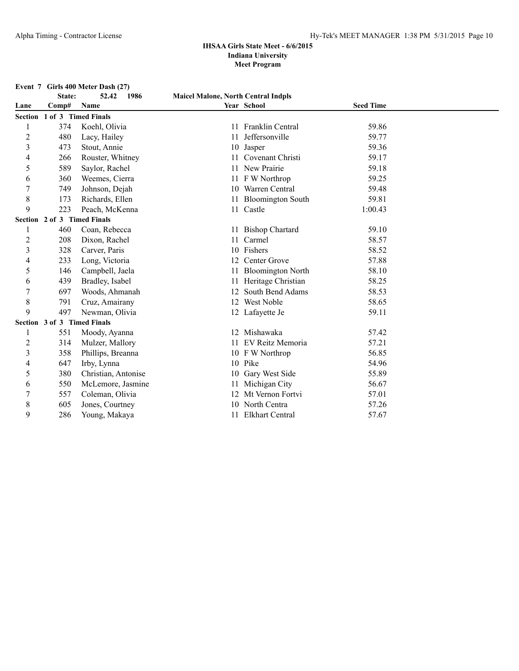**Event 7 Girls 400 Meter Dash (27)**<br>**State:** 52.42 1986

|                | State:                      | 52.42<br>1986       | <b>Maicel Malone, North Central Indpls</b> |                          |                  |  |
|----------------|-----------------------------|---------------------|--------------------------------------------|--------------------------|------------------|--|
| Lane           | Comp#                       | Name                |                                            | Year School              | <b>Seed Time</b> |  |
| Section        | 1 of 3 Timed Finals         |                     |                                            |                          |                  |  |
|                | 374                         | Koehl, Olivia       |                                            | Franklin Central         | 59.86            |  |
| $\overline{2}$ | 480                         | Lacy, Hailey        |                                            | Jeffersonville           | 59.77            |  |
| 3              | 473                         | Stout, Annie        | 10                                         | Jasper                   | 59.36            |  |
| 4              | 266                         | Rouster, Whitney    |                                            | Covenant Christi         | 59.17            |  |
| 5              | 589                         | Saylor, Rachel      | 11                                         | New Prairie              | 59.18            |  |
| 6              | 360                         | Weemes, Cierra      |                                            | 11 F W Northrop          | 59.25            |  |
|                | 749                         | Johnson, Dejah      |                                            | 10 Warren Central        | 59.48            |  |
| 8              | 173                         | Richards, Ellen     |                                            | 11 Bloomington South     | 59.81            |  |
| 9              | 223                         | Peach, McKenna      |                                            | 11 Castle                | 1:00.43          |  |
|                | Section 2 of 3 Timed Finals |                     |                                            |                          |                  |  |
|                | 460                         | Coan, Rebecca       |                                            | 11 Bishop Chartard       | 59.10            |  |
| $\overline{c}$ | 208                         | Dixon, Rachel       |                                            | Carmel                   | 58.57            |  |
| 3              | 328                         | Carver, Paris       | 10                                         | Fishers                  | 58.52            |  |
| 4              | 233                         | Long, Victoria      | 12                                         | Center Grove             | 57.88            |  |
| 5              | 146                         | Campbell, Jaela     |                                            | <b>Bloomington North</b> | 58.10            |  |
| 6              | 439                         | Bradley, Isabel     |                                            | Heritage Christian       | 58.25            |  |
| 7              | 697                         | Woods, Ahmanah      | 12                                         | South Bend Adams         | 58.53            |  |
| 8              | 791                         | Cruz, Amairany      |                                            | 12 West Noble            | 58.65            |  |
| 9              | 497                         | Newman, Olivia      |                                            | 12 Lafayette Je          | 59.11            |  |
|                | Section 3 of 3 Timed Finals |                     |                                            |                          |                  |  |
|                | 551                         | Moody, Ayanna       |                                            | 12 Mishawaka             | 57.42            |  |
| $\overline{c}$ | 314                         | Mulzer, Mallory     |                                            | 11 EV Reitz Memoria      | 57.21            |  |
| 3              | 358                         | Phillips, Breanna   |                                            | 10 F W Northrop          | 56.85            |  |
| 4              | 647                         | Irby, Lynna         |                                            | 10 Pike                  | 54.96            |  |
| 5              | 380                         | Christian, Antonise |                                            | 10 Gary West Side        | 55.89            |  |
| 6              | 550                         | McLemore, Jasmine   | 11                                         | Michigan City            | 56.67            |  |
| 7              | 557                         | Coleman, Olivia     |                                            | 12 Mt Vernon Fortvi      | 57.01            |  |
| 8              | 605                         | Jones, Courtney     |                                            | North Centra             | 57.26            |  |
| 9              | 286                         | Young, Makaya       |                                            | 11 Elkhart Central       | 57.67            |  |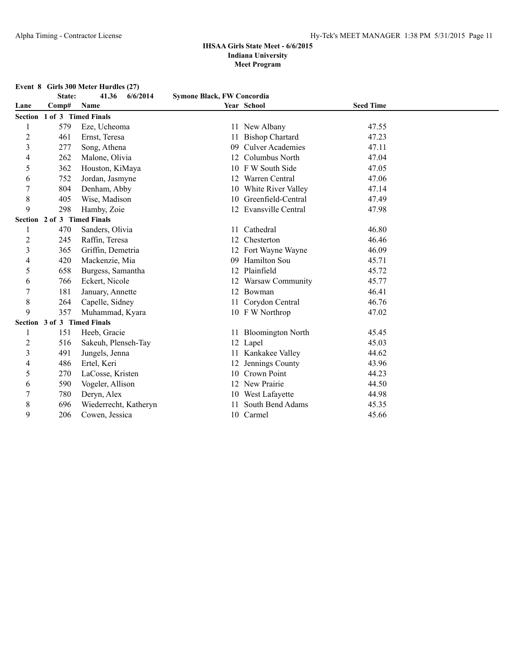**Event 8 Girls 300 Meter Hurdles (27)**

|                | State:                      | 41.36<br>6/6/2014     | <b>Symone Black, FW Concordia</b> |                        |                  |  |
|----------------|-----------------------------|-----------------------|-----------------------------------|------------------------|------------------|--|
| Lane           | Comp#                       | Name                  |                                   | Year School            | <b>Seed Time</b> |  |
|                | Section 1 of 3 Timed Finals |                       |                                   |                        |                  |  |
|                | 579                         | Eze, Ucheoma          |                                   | 11 New Albany          | 47.55            |  |
| $\overline{2}$ | 461                         | Ernst, Teresa         | 11                                | <b>Bishop Chartard</b> | 47.23            |  |
| 3              | 277                         | Song, Athena          |                                   | 09 Culver Academies    | 47.11            |  |
| 4              | 262                         | Malone, Olivia        |                                   | 12 Columbus North      | 47.04            |  |
| 5              | 362                         | Houston, KiMaya       |                                   | 10 F W South Side      | 47.05            |  |
| 6              | 752                         | Jordan, Jasmyne       |                                   | Warren Central         | 47.06            |  |
|                | 804                         | Denham, Abby          |                                   | 10 White River Valley  | 47.14            |  |
| 8              | 405                         | Wise, Madison         |                                   | 10 Greenfield-Central  | 47.49            |  |
| 9              | 298                         | Hamby, Zoie           |                                   | 12 Evansville Central  | 47.98            |  |
|                | Section 2 of 3 Timed Finals |                       |                                   |                        |                  |  |
|                | 470                         | Sanders, Olivia       |                                   | 11 Cathedral           | 46.80            |  |
| $\overline{2}$ | 245                         | Raffin, Teresa        | 12                                | Chesterton             | 46.46            |  |
| 3              | 365                         | Griffin, Demetria     |                                   | 12 Fort Wayne Wayne    | 46.09            |  |
| 4              | 420                         | Mackenzie, Mia        |                                   | 09 Hamilton Sou        | 45.71            |  |
| 5              | 658                         | Burgess, Samantha     | 12                                | Plainfield             | 45.72            |  |
| 6              | 766                         | Eckert, Nicole        |                                   | Warsaw Community       | 45.77            |  |
| 7              | 181                         | January, Annette      |                                   | 12 Bowman              | 46.41            |  |
| 8              | 264                         | Capelle, Sidney       |                                   | 11 Corydon Central     | 46.76            |  |
| 9              | 357                         | Muhammad, Kyara       |                                   | 10 F W Northrop        | 47.02            |  |
|                | Section 3 of 3 Timed Finals |                       |                                   |                        |                  |  |
| 1              | 151                         | Heeb, Gracie          |                                   | 11 Bloomington North   | 45.45            |  |
| 2              | 516                         | Sakeuh, Plenseh-Tay   |                                   | 12 Lapel               | 45.03            |  |
| 3              | 491                         | Jungels, Jenna        |                                   | 11 Kankakee Valley     | 44.62            |  |
| 4              | 486                         | Ertel, Keri           | 12                                | Jennings County        | 43.96            |  |
| 5              | 270                         | LaCosse, Kristen      |                                   | 10 Crown Point         | 44.23            |  |
| 6              | 590                         | Vogeler, Allison      |                                   | 12 New Prairie         | 44.50            |  |
| 7              | 780                         | Deryn, Alex           |                                   | 10 West Lafayette      | 44.98            |  |
| 8              | 696                         | Wiederrecht, Katheryn |                                   | South Bend Adams       | 45.35            |  |
| 9              | 206                         | Cowen, Jessica        |                                   | 10 Carmel              | 45.66            |  |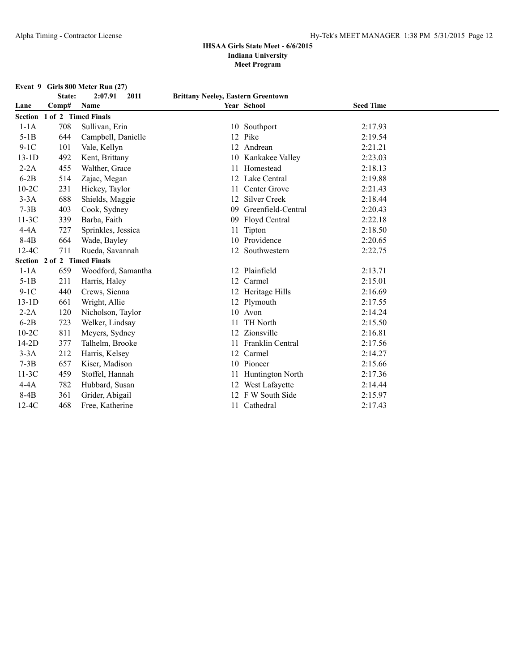**Event 9 Girls 800 Meter Run (27)**<br>**State:** 2:07.91 2011

|         | State:                      | 2:07.91<br>2011    | <b>Brittany Neeley, Eastern Greentown</b> |                     |                  |  |
|---------|-----------------------------|--------------------|-------------------------------------------|---------------------|------------------|--|
| Lane    | Comp#                       | Name               |                                           | Year School         | <b>Seed Time</b> |  |
|         | Section 1 of 2 Timed Finals |                    |                                           |                     |                  |  |
| $1-1A$  | 708                         | Sullivan, Erin     | 10                                        | Southport           | 2:17.93          |  |
| $5-1B$  | 644                         | Campbell, Danielle | 12                                        | Pike                | 2:19.54          |  |
| $9-1C$  | 101                         | Vale, Kellyn       | 12                                        | Andrean             | 2:21.21          |  |
| $13-1D$ | 492                         | Kent, Brittany     | 10                                        | Kankakee Valley     | 2:23.03          |  |
| $2-2A$  | 455                         | Walther, Grace     |                                           | Homestead           | 2:18.13          |  |
| $6-2B$  | 514                         | Zajac, Megan       | 12                                        | Lake Central        | 2:19.88          |  |
| $10-2C$ | 231                         | Hickey, Taylor     | 11                                        | Center Grove        | 2:21.43          |  |
| $3-3A$  | 688                         | Shields, Maggie    | 12                                        | <b>Silver Creek</b> | 2:18.44          |  |
| $7-3B$  | 403                         | Cook, Sydney       | 09                                        | Greenfield-Central  | 2:20.43          |  |
| $11-3C$ | 339                         | Barba, Faith       | 09                                        | Floyd Central       | 2:22.18          |  |
| $4-4A$  | 727                         | Sprinkles, Jessica | 11                                        | Tipton              | 2:18.50          |  |
| $8-4B$  | 664                         | Wade, Bayley       | 10                                        | Providence          | 2:20.65          |  |
| $12-4C$ | 711                         | Rueda, Savannah    | 12                                        | Southwestern        | 2:22.75          |  |
|         | Section 2 of 2 Timed Finals |                    |                                           |                     |                  |  |
| $1-1A$  | 659                         | Woodford, Samantha | 12                                        | Plainfield          | 2:13.71          |  |
| $5-1B$  | 211                         | Harris, Haley      | 12                                        | Carmel              | 2:15.01          |  |
| $9-1C$  | 440                         | Crews, Sienna      |                                           | Heritage Hills      | 2:16.69          |  |
| $13-1D$ | 661                         | Wright, Allie      | 12                                        | Plymouth            | 2:17.55          |  |
| $2-2A$  | 120                         | Nicholson, Taylor  | 10                                        | Avon                | 2:14.24          |  |
| $6-2B$  | 723                         | Welker, Lindsay    | 11                                        | TH North            | 2:15.50          |  |
| $10-2C$ | 811                         | Meyers, Sydney     | 12                                        | Zionsville          | 2:16.81          |  |
| $14-2D$ | 377                         | Talhelm, Brooke    |                                           | Franklin Central    | 2:17.56          |  |
| $3-3A$  | 212                         | Harris, Kelsey     | 12                                        | Carmel              | 2:14.27          |  |
| $7-3B$  | 657                         | Kiser, Madison     | 10                                        | Pioneer             | 2:15.66          |  |
| $11-3C$ | 459                         | Stoffel, Hannah    |                                           | Huntington North    | 2:17.36          |  |
| $4-4A$  | 782                         | Hubbard, Susan     | 12                                        | West Lafayette      | 2:14.44          |  |
| $8-4B$  | 361                         | Grider, Abigail    |                                           | 12 F W South Side   | 2:15.97          |  |
| $12-4C$ | 468                         | Free, Katherine    | 11                                        | Cathedral           | 2:17.43          |  |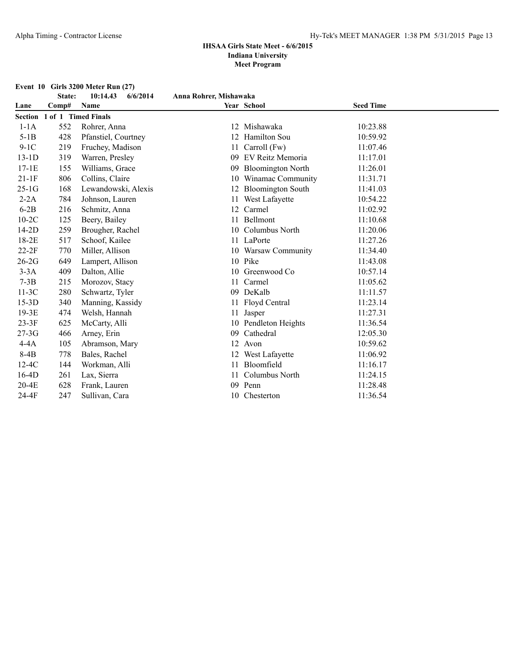**Event 10 Girls 3200 Meter Run (27)**<br>**State:** 10:14.43 6/6/2014

|         | State:              | 10:14.43<br>6/6/2014 | Anna Rohrer, Mishawaka |                          |                  |  |
|---------|---------------------|----------------------|------------------------|--------------------------|------------------|--|
| Lane    | Comp#               | Name                 |                        | Year School              | <b>Seed Time</b> |  |
| Section | 1 of 1 Timed Finals |                      |                        |                          |                  |  |
| $1-1A$  | 552                 | Rohrer, Anna         | 12                     | Mishawaka                | 10:23.88         |  |
| $5-1B$  | 428                 | Pfanstiel, Courtney  |                        | Hamilton Sou             | 10:59.92         |  |
| $9-1C$  | 219                 | Fruchey, Madison     | 11                     | Carroll (Fw)             | 11:07.46         |  |
| $13-1D$ | 319                 | Warren, Presley      | 09                     | EV Reitz Memoria         | 11:17.01         |  |
| $17-1E$ | 155                 | Williams, Grace      | 09                     | <b>Bloomington North</b> | 11:26.01         |  |
| $21-1F$ | 806                 | Collins, Claire      | 10                     | Winamac Community        | 11:31.71         |  |
| $25-1G$ | 168                 | Lewandowski, Alexis  | 12                     | <b>Bloomington South</b> | 11:41.03         |  |
| $2-2A$  | 784                 | Johnson, Lauren      |                        | 11 West Lafayette        | 10:54.22         |  |
| $6-2B$  | 216                 | Schmitz, Anna        | 12                     | Carmel                   | 11:02.92         |  |
| $10-2C$ | 125                 | Beery, Bailey        |                        | Bellmont                 | 11:10.68         |  |
| $14-2D$ | 259                 | Brougher, Rachel     | 10                     | Columbus North           | 11:20.06         |  |
| $18-2E$ | 517                 | Schoof, Kailee       | 11                     | LaPorte                  | 11:27.26         |  |
| $22-2F$ | 770                 | Miller, Allison      | 10                     | <b>Warsaw Community</b>  | 11:34.40         |  |
| $26-2G$ | 649                 | Lampert, Allison     |                        | 10 Pike                  | 11:43.08         |  |
| $3-3A$  | 409                 | Dalton, Allie        | 10                     | Greenwood Co             | 10:57.14         |  |
| $7-3B$  | 215                 | Morozov, Stacy       | 11                     | Carmel                   | 11:05.62         |  |
| $11-3C$ | 280                 | Schwartz, Tyler      | 09                     | DeKalb                   | 11:11.57         |  |
| $15-3D$ | 340                 | Manning, Kassidy     | 11                     | Floyd Central            | 11:23.14         |  |
| $19-3E$ | 474                 | Welsh, Hannah        | 11                     | Jasper                   | 11:27.31         |  |
| $23-3F$ | 625                 | McCarty, Alli        |                        | 10 Pendleton Heights     | 11:36.54         |  |
| $27-3G$ | 466                 | Arney, Erin          | 09                     | Cathedral                | 12:05.30         |  |
| $4-4A$  | 105                 | Abramson, Mary       | 12                     | Avon                     | 10:59.62         |  |
| $8-4B$  | 778                 | Bales, Rachel        | 12                     | West Lafayette           | 11:06.92         |  |
| $12-4C$ | 144                 | Workman, Alli        | 11                     | Bloomfield               | 11:16.17         |  |
| $16-4D$ | 261                 | Lax, Sierra          | 11                     | Columbus North           | 11:24.15         |  |
| $20-4E$ | 628                 | Frank, Lauren        | 09                     | Penn                     | 11:28.48         |  |
| 24-4F   | 247                 | Sullivan, Cara       | 10                     | Chesterton               | 11:36.54         |  |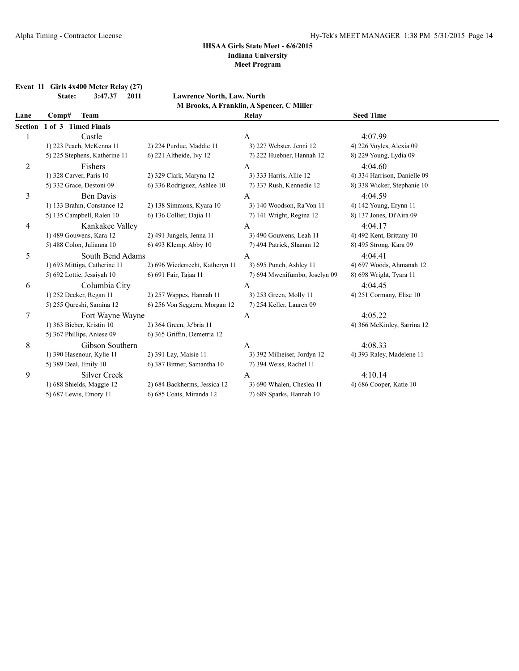**Event 11 Girls 4x400 Meter Relay (27) State: 3:47.37 2011** 

| <b>Lawrence North, Law. North</b>         |
|-------------------------------------------|
| M Brooks, A Franklin, A Spencer, C Miller |

| Lane           | Comp#<br><b>Team</b>          |                                 | Relay                         | <b>Seed Time</b>             |
|----------------|-------------------------------|---------------------------------|-------------------------------|------------------------------|
| <b>Section</b> | 1 of 3 Timed Finals           |                                 |                               |                              |
|                | Castle                        |                                 | A                             | 4:07.99                      |
|                | 1) 223 Peach, McKenna 11      | 2) 224 Purdue, Maddie 11        | 3) 227 Webster, Jenni 12      | 4) 226 Voyles, Alexia 09     |
|                | 5) 225 Stephens, Katherine 11 | 6) 221 Altheide, Ivy 12         | 7) 222 Huebner, Hannah 12     | 8) 229 Young, Lydia 09       |
| 2              | Fishers                       |                                 | A                             | 4:04.60                      |
|                | 1) 328 Carver, Paris 10       | 2) 329 Clark, Maryna 12         | 3) 333 Harris, Allie 12       | 4) 334 Harrison, Danielle 09 |
|                | 5) 332 Grace, Destoni 09      | 6) 336 Rodriguez, Ashlee 10     | 7) 337 Rush, Kennedie 12      | 8) 338 Wicker, Stephanie 10  |
| 3              | Ben Davis                     |                                 | A                             | 4:04.59                      |
|                | 1) 133 Brahm, Constance 12    | 2) 138 Simmons, Kyara 10        | 3) 140 Woodson, Ra'Von 11     | 4) 142 Young, Erynn 11       |
|                | 5) 135 Campbell, Ralen 10     | 6) 136 Collier, Dajia 11        | 7) 141 Wright, Regina 12      | 8) 137 Jones, Di'Aira 09     |
| 4              | Kankakee Valley               |                                 | A                             | 4:04.17                      |
|                | 1) 489 Gouwens, Kara 12       | 2) 491 Jungels, Jenna 11        | 3) 490 Gouwens, Leah 11       | 4) 492 Kent, Brittany 10     |
|                | 5) 488 Colon, Julianna 10     | 6) 493 Klemp, Abby 10           | 7) 494 Patrick, Shanan 12     | 8) 495 Strong, Kara 09       |
| 5              | South Bend Adams              |                                 | $\overline{A}$                | 4:04.41                      |
|                | 1) 693 Mittiga, Catherine 11  | 2) 696 Wiederrecht, Katheryn 11 | 3) 695 Punch, Ashley 11       | 4) 697 Woods, Ahmanah 12     |
|                | 5) 692 Lottie, Jessiyah 10    | 6) 691 Fair, Tajaa 11           | 7) 694 Mwenifumbo, Joselyn 09 | 8) 698 Wright, Tyara 11      |
| 6              | Columbia City                 |                                 | $\overline{A}$                | 4:04.45                      |
|                | 1) 252 Decker, Regan 11       | 2) 257 Wappes, Hannah 11        | 3) 253 Green, Molly 11        | 4) 251 Cormany, Elise 10     |
|                | 5) 255 Qureshi, Samina 12     | 6) 256 Von Seggern, Morgan 12   | 7) 254 Keller, Lauren 09      |                              |
| 7              | Fort Wayne Wayne              |                                 | A                             | 4:05.22                      |
|                | 1) 363 Bieber, Kristin 10     | 2) 364 Green, Je'bria 11        |                               | 4) 366 McKinley, Sarrina 12  |
|                | 5) 367 Phillips, Aniese 09    | 6) 365 Griffin, Demetria 12     |                               |                              |
| 8              | Gibson Southern               |                                 | A                             | 4:08.33                      |
|                | 1) 390 Hasenour, Kylie 11     | 2) 391 Lay, Maisie 11           | 3) 392 Milheiser, Jordyn 12   | 4) 393 Raley, Madelene 11    |
|                | 5) 389 Deal, Emily 10         | 6) 387 Bittner, Samantha 10     | 7) 394 Weiss, Rachel 11       |                              |
| 9              | <b>Silver Creek</b>           |                                 | A                             | 4:10.14                      |
|                | 1) 688 Shields, Maggie 12     | 2) 684 Backherms, Jessica 12    | 3) 690 Whalen, Cheslea 11     | 4) 686 Cooper, Katie 10      |
|                | 5) 687 Lewis, Emory 11        | 6) 685 Coats, Miranda 12        | 7) 689 Sparks, Hannah 10      |                              |
|                |                               |                                 |                               |                              |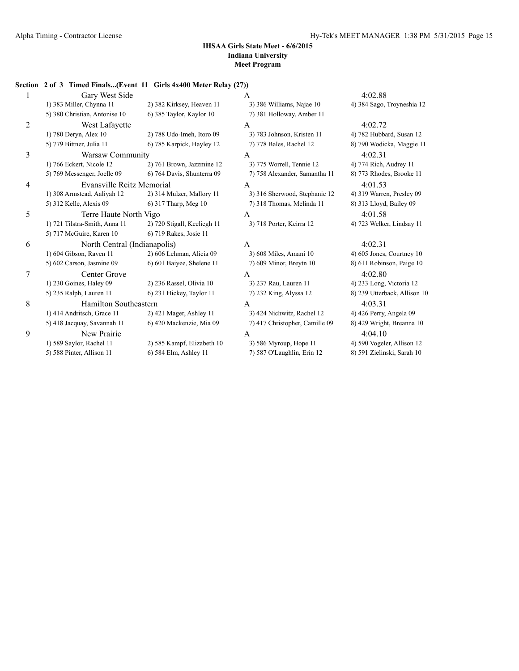# **Section 2 of 3 Timed Finals...(Event 11 Girls 4x400 Meter Relay (27))** 1 Gary West Side A 4:02.88 1) 383 Miller, Chynna 11 2) 382 Kirksey, Heaven 11 3) 386 Williams, Najae 10 4) 384 Sago, Troyneshia 12 5) 380 Christian, Antonise 10 6) 385 Taylor, Kaylor 10 7) 381 Holloway, Amber 11 2 West Lafayette A 4:02.72 1) 780 Deryn, Alex 10 2) 788 Udo-Imeh, Itoro 09 3) 783 Johnson, Kristen 11 4) 782 Hubbard, Susan 12 5) 779 Bittner, Julia 11 6) 785 Karpick, Hayley 12 7) 778 Bales, Rachel 12 8) 790 Wodicka, Maggie 11 3 Warsaw Community A 4:02.31 1) 766 Eckert, Nicole 12 2) 761 Brown, Jazzmine 12 3) 775 Worrell, Tennie 12 4) 774 Rich, Audrey 11 5) 769 Messenger, Joelle 09 6) 764 Davis, Shunterra 09 7) 758 Alexander, Samantha 11 8) 773 Rhodes, Brooke 11 4 Evansville Reitz Memorial A 4:01.53 1) 308 Armstead, Aaliyah 12 2) 314 Mulzer, Mallory 11 3) 316 Sherwood, Stephanie 12 4) 319 Warren, Presley 09 5) 312 Kelle, Alexis 09 6) 317 Tharp, Meg 10 7) 318 Thomas, Melinda 11 8) 313 Lloyd, Bailey 09 5 Terre Haute North Vigo A 4:01.58 1) 721 Tilstra-Smith, Anna 11 2) 720 Stigall, Keeliegh 11 3) 718 Porter, Keirra 12 4) 723 Welker, Lindsay 11 5) 717 McGuire, Karen 10 6) 719 Rakes, Josie 11 6 North Central (Indianapolis) A 4:02.31 1) 604 Gibson, Raven 11 2) 606 Lehman, Alicia 09 3) 608 Miles, Amani 10 4) 605 Jones, Courtney 10 5) 602 Carson, Jasmine 09 6) 601 Baiyee, Shelene 11 7) 609 Minor, Breytn 10 8) 611 Robinson, Paige 10 7 Center Grove A 4:02.80 1) 230 Goines, Haley 09 2) 236 Rassel, Olivia 10 3) 237 Rau, Lauren 11 4) 233 Long, Victoria 12 5) 235 Ralph, Lauren 11 6) 231 Hickey, Taylor 11 7) 232 King, Alyssa 12 8) 239 Utterback, Allison 10 8 Hamilton Southeastern A 4:03.31 1) 414 Andritsch, Grace 11 2) 421 Mager, Ashley 11 3) 424 Nichwitz, Rachel 12 4) 426 Perry, Angela 09 5) 418 Jacquay, Savannah 11 6) 420 Mackenzie, Mia 09 7) 417 Christopher, Camille 09 8) 429 Wright, Breanna 10 9 New Prairie A 4:04.10 1) 589 Saylor, Rachel 11 2) 585 Kampf, Elizabeth 10 3) 586 Myroup, Hope 11 4) 590 Vogeler, Allison 12 5) 588 Pinter, Allison 11 6) 584 Elm, Ashley 11 7) 587 O'Laughlin, Erin 12 8) 591 Zielinski, Sarah 10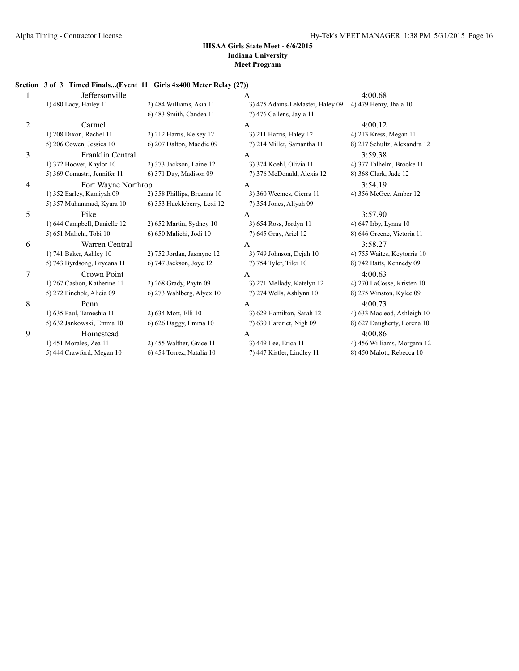## **Section 3 of 3 Timed Finals...(Event 11 Girls 4x400 Meter Relay (27))**

|   | Jeffersonville               |                             | A                               | 4:00.68                      |
|---|------------------------------|-----------------------------|---------------------------------|------------------------------|
|   | 1) 480 Lacy, Hailey 11       | 2) 484 Williams, Asia 11    | 3) 475 Adams-LeMaster, Haley 09 | 4) 479 Henry, Jhala 10       |
|   |                              | 6) 483 Smith, Candea 11     | 7) 476 Callens, Jayla 11        |                              |
| 2 | Carmel                       |                             | A                               | 4:00.12                      |
|   | 1) 208 Dixon, Rachel 11      | 2) 212 Harris, Kelsey 12    | 3) 211 Harris, Haley 12         | 4) 213 Kress, Megan 11       |
|   | 5) 206 Cowen, Jessica 10     | 6) 207 Dalton, Maddie 09    | 7) 214 Miller, Samantha 11      | 8) 217 Schultz, Alexandra 12 |
| 3 | Franklin Central             |                             | A                               | 3:59.38                      |
|   | 1) 372 Hoover, Kaylor 10     | 2) 373 Jackson, Laine 12    | 3) 374 Koehl, Olivia 11         | 4) 377 Talhelm, Brooke 11    |
|   | 5) 369 Comastri, Jennifer 11 | 6) 371 Day, Madison 09      | 7) 376 McDonald, Alexis 12      | 8) 368 Clark, Jade 12        |
| 4 | Fort Wayne Northrop          |                             | A                               | 3:54.19                      |
|   | 1) 352 Earley, Kamiyah 09    | 2) 358 Phillips, Breanna 10 | 3) 360 Weemes, Cierra 11        | 4) 356 McGee, Amber 12       |
|   | 5) 357 Muhammad, Kyara 10    | 6) 353 Huckleberry, Lexi 12 | 7) 354 Jones, Aliyah 09         |                              |
| 5 | Pike                         |                             | A                               | 3:57.90                      |
|   | 1) 644 Campbell, Danielle 12 | $2)$ 652 Martin, Sydney 10  | 3) 654 Ross, Jordyn 11          | 4) 647 Irby, Lynna 10        |
|   | 5) 651 Malichi, Tobi 10      | 6) 650 Malichi, Jodi 10     | 7) 645 Gray, Ariel 12           | 8) 646 Greene, Victoria 11   |
| 6 | Warren Central               |                             | $\mathsf{A}$                    | 3:58.27                      |
|   | 1) 741 Baker, Ashley 10      | 2) 752 Jordan, Jasmyne 12   | 3) 749 Johnson, Dejah 10        | 4) 755 Waites, Keytorria 10  |
|   | 5) 743 Byrdsong, Bryeana 11  | 6) 747 Jackson, Joye 12     | 7) 754 Tyler, Tiler 10          | 8) 742 Batts, Kennedy 09     |
| 7 | Crown Point                  |                             | $\mathsf{A}$                    | 4:00.63                      |
|   | 1) 267 Casbon, Katherine 11  | 2) 268 Grady, Paytn 09      | 3) 271 Mellady, Katelyn 12      | 4) 270 LaCosse, Kristen 10   |
|   | 5) 272 Pinchok, Alicia 09    | 6) 273 Wahlberg, Alyex 10   | 7) 274 Wells, Ashlynn 10        | 8) 275 Winston, Kylee 09     |
| 8 | Penn                         |                             | A                               | 4:00.73                      |
|   | 1) 635 Paul, Tameshia 11     | 2) 634 Mott, Elli 10        | 3) 629 Hamilton, Sarah 12       | 4) 633 Macleod, Ashleigh 10  |
|   | 5) 632 Jankowski, Emma 10    | 6) 626 Daggy, Emma 10       | 7) 630 Hardrict, Nigh 09        | 8) 627 Daugherty, Lorena 10  |
| 9 | Homestead                    |                             | A                               | 4:00.86                      |
|   | 1) 451 Morales, Zea 11       | 2) 455 Walther, Grace 11    | 3) 449 Lee, Erica 11            | 4) 456 Williams, Morgann 12  |
|   | 5) 444 Crawford, Megan 10    | 6) 454 Torrez, Natalia 10   | 7) 447 Kistler, Lindley 11      | 8) 450 Malott, Rebecca 10    |
|   |                              |                             |                                 |                              |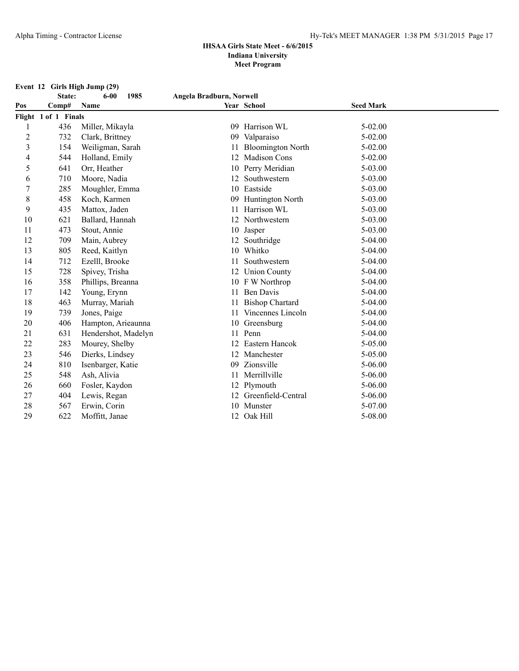**Event 12 Girls High Jump (29)**

**State: 6-00 1985 Angela Bradburn, Norwell**

| Pos | Comp#                | Name                |    | Year School              | <b>Seed Mark</b> |  |
|-----|----------------------|---------------------|----|--------------------------|------------------|--|
|     | Flight 1 of 1 Finals |                     |    |                          |                  |  |
|     | 436                  | Miller, Mikayla     | 09 | Harrison WL              | 5-02.00          |  |
| 2   | 732                  | Clark, Brittney     | 09 | Valparaiso               | $5 - 02.00$      |  |
| 3   | 154                  | Weiligman, Sarah    | 11 | <b>Bloomington North</b> | $5 - 02.00$      |  |
| 4   | 544                  | Holland, Emily      |    | <b>Madison Cons</b>      | $5 - 02.00$      |  |
| 5   | 641                  | Orr, Heather        |    | 10 Perry Meridian        | $5 - 03.00$      |  |
| 6   | 710                  | Moore, Nadia        | 12 | Southwestern             | $5 - 03.00$      |  |
| 7   | 285                  | Moughler, Emma      | 10 | Eastside                 | $5 - 03.00$      |  |
| 8   | 458                  | Koch, Karmen        | 09 | <b>Huntington North</b>  | $5 - 03.00$      |  |
| 9   | 435                  | Mattox, Jaden       |    | Harrison WL              | $5 - 03.00$      |  |
| 10  | 621                  | Ballard, Hannah     |    | 12 Northwestern          | $5 - 03.00$      |  |
| 11  | 473                  | Stout, Annie        | 10 | Jasper                   | $5 - 03.00$      |  |
| 12  | 709                  | Main, Aubrey        |    | 12 Southridge            | $5-04.00$        |  |
| 13  | 805                  | Reed, Kaitlyn       | 10 | Whitko                   | $5-04.00$        |  |
| 14  | 712                  | Ezelll, Brooke      |    | Southwestern             | 5-04.00          |  |
| 15  | 728                  | Spivey, Trisha      |    | 12 Union County          | $5-04.00$        |  |
| 16  | 358                  | Phillips, Breanna   |    | 10 F W Northrop          | $5-04.00$        |  |
| 17  | 142                  | Young, Erynn        | 11 | <b>Ben Davis</b>         | $5-04.00$        |  |
| 18  | 463                  | Murray, Mariah      |    | <b>Bishop Chartard</b>   | $5-04.00$        |  |
| 19  | 739                  | Jones, Paige        |    | 11 Vincennes Lincoln     | $5-04.00$        |  |
| 20  | 406                  | Hampton, Arieaunna  | 10 | Greensburg               | 5-04.00          |  |
| 21  | 631                  | Hendershot, Madelyn | 11 | Penn                     | $5-04.00$        |  |
| 22  | 283                  | Mourey, Shelby      | 12 | Eastern Hancok           | 5-05.00          |  |
| 23  | 546                  | Dierks, Lindsey     |    | 12 Manchester            | 5-05.00          |  |
| 24  | 810                  | Isenbarger, Katie   | 09 | Zionsville               | 5-06.00          |  |
| 25  | 548                  | Ash, Alivia         | 11 | Merrillville             | 5-06.00          |  |
| 26  | 660                  | Fosler, Kaydon      |    | 12 Plymouth              | $5-06.00$        |  |
| 27  | 404                  | Lewis, Regan        |    | 12 Greenfield-Central    | $5-06.00$        |  |
| 28  | 567                  | Erwin, Corin        |    | 10 Munster               | 5-07.00          |  |
| 29  | 622                  | Moffitt, Janae      |    | 12 Oak Hill              | 5-08.00          |  |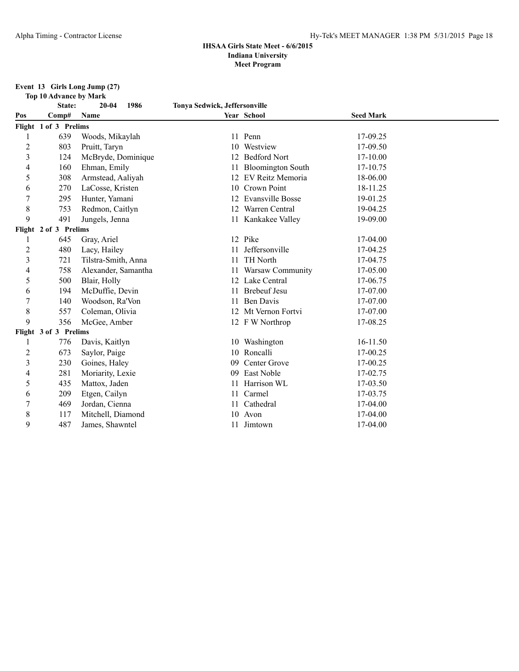#### **Event 13 Girls Long Jump (27) Top 10 Advance by Mark**

|                | State:                | 1986<br>$20 - 04$   | Tonya Sedwick, Jeffersonville |                          |                  |  |
|----------------|-----------------------|---------------------|-------------------------------|--------------------------|------------------|--|
| Pos            | Comp#                 | Name                |                               | Year School              | <b>Seed Mark</b> |  |
|                | Flight 1 of 3 Prelims |                     |                               |                          |                  |  |
| 1              | 639                   | Woods, Mikaylah     |                               | 11 Penn                  | 17-09.25         |  |
| $\overline{2}$ | 803                   | Pruitt, Taryn       | 10                            | Westview                 | 17-09.50         |  |
| 3              | 124                   | McBryde, Dominique  | 12                            | <b>Bedford Nort</b>      | 17-10.00         |  |
| 4              | 160                   | Ehman, Emily        |                               | <b>Bloomington South</b> | 17-10.75         |  |
| 5              | 308                   | Armstead, Aaliyah   |                               | 12 EV Reitz Memoria      | 18-06.00         |  |
| 6              | 270                   | LaCosse, Kristen    | 10                            | Crown Point              | 18-11.25         |  |
| 7              | 295                   | Hunter, Yamani      |                               | <b>Evansville Bosse</b>  | 19-01.25         |  |
| 8              | 753                   | Redmon, Caitlyn     |                               | 12 Warren Central        | 19-04.25         |  |
| 9              | 491                   | Jungels, Jenna      |                               | 11 Kankakee Valley       | 19-09.00         |  |
|                | Flight 2 of 3 Prelims |                     |                               |                          |                  |  |
|                | 645                   | Gray, Ariel         |                               | 12 Pike                  | 17-04.00         |  |
| $\overline{c}$ | 480                   | Lacy, Hailey        |                               | Jeffersonville           | 17-04.25         |  |
| $\overline{3}$ | 721                   | Tilstra-Smith, Anna |                               | <b>TH</b> North          | 17-04.75         |  |
| 4              | 758                   | Alexander, Samantha |                               | Warsaw Community         | 17-05.00         |  |
| 5              | 500                   | Blair, Holly        |                               | 12 Lake Central          | 17-06.75         |  |
| 6              | 194                   | McDuffie, Devin     |                               | <b>Brebeuf Jesu</b>      | 17-07.00         |  |
| 7              | 140                   | Woodson, Ra'Von     | 11                            | <b>Ben Davis</b>         | 17-07.00         |  |
| $\,8$          | 557                   | Coleman, Olivia     |                               | 12 Mt Vernon Fortvi      | 17-07.00         |  |
| 9              | 356                   | McGee, Amber        |                               | 12 F W Northrop          | 17-08.25         |  |
|                | Flight 3 of 3 Prelims |                     |                               |                          |                  |  |
|                | 776                   | Davis, Kaitlyn      |                               | 10 Washington            | 16-11.50         |  |
| 2              | 673                   | Saylor, Paige       |                               | 10 Roncalli              | 17-00.25         |  |
| 3              | 230                   | Goines, Haley       | 09                            | Center Grove             | 17-00.25         |  |
| 4              | 281                   | Moriarity, Lexie    | 09                            | East Noble               | 17-02.75         |  |
| 5              | 435                   | Mattox, Jaden       |                               | Harrison WL              | 17-03.50         |  |
| 6              | 209                   | Etgen, Cailyn       | 11                            | Carmel                   | 17-03.75         |  |
| 7              | 469                   | Jordan, Cienna      |                               | Cathedral                | 17-04.00         |  |
| 8              | 117                   | Mitchell, Diamond   | 10                            | Avon                     | 17-04.00         |  |
| 9              | 487                   | James, Shawntel     |                               | 11 Jimtown               | 17-04.00         |  |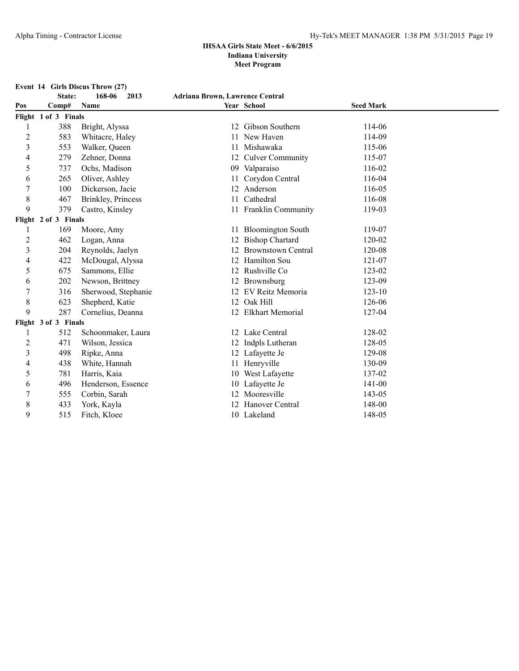**Event 14 Girls Discus Throw (27)**<br>**State: 168-06** 2013

|     | State:               | 168-06<br>2013      | <b>Adriana Brown, Lawrence Central</b> |                           |                  |  |
|-----|----------------------|---------------------|----------------------------------------|---------------------------|------------------|--|
| Pos | Comp#                | Name                |                                        | Year School               | <b>Seed Mark</b> |  |
|     | Flight 1 of 3 Finals |                     |                                        |                           |                  |  |
|     | 388                  | Bright, Alyssa      | 12                                     | Gibson Southern           | 114-06           |  |
| 2   | 583                  | Whitacre, Haley     | 11                                     | New Haven                 | 114-09           |  |
| 3   | 553                  | Walker, Queen       | 11                                     | Mishawaka                 | 115-06           |  |
| 4   | 279                  | Zehner, Donna       | 12                                     | <b>Culver Community</b>   | 115-07           |  |
| 5   | 737                  | Ochs, Madison       |                                        | 09 Valparaiso             | 116-02           |  |
| 6   | 265                  | Oliver, Ashley      |                                        | Corydon Central           | 116-04           |  |
|     | 100                  | Dickerson, Jacie    | 12                                     | Anderson                  | 116-05           |  |
| 8   | 467                  | Brinkley, Princess  | 11                                     | Cathedral                 | 116-08           |  |
| 9   | 379                  | Castro, Kinsley     |                                        | 11 Franklin Community     | 119-03           |  |
|     | Flight 2 of 3 Finals |                     |                                        |                           |                  |  |
|     | 169                  | Moore, Amy          | 11                                     | <b>Bloomington South</b>  | 119-07           |  |
| 2   | 462                  | Logan, Anna         | 12                                     | <b>Bishop Chartard</b>    | 120-02           |  |
| 3   | 204                  | Reynolds, Jaelyn    | 12                                     | <b>Brownstown Central</b> | 120-08           |  |
| 4   | 422                  | McDougal, Alyssa    | 12                                     | Hamilton Sou              | 121-07           |  |
| 5   | 675                  | Sammons, Ellie      | 12                                     | Rushville Co              | 123-02           |  |
| 6   | 202                  | Newson, Brittney    |                                        | Brownsburg                | 123-09           |  |
| 7   | 316                  | Sherwood, Stephanie | 12                                     | EV Reitz Memoria          | $123 - 10$       |  |
| 8   | 623                  | Shepherd, Katie     | 12                                     | Oak Hill                  | 126-06           |  |
| 9   | 287                  | Cornelius, Deanna   | 12                                     | <b>Elkhart Memorial</b>   | 127-04           |  |
|     | Flight 3 of 3 Finals |                     |                                        |                           |                  |  |
|     | 512                  | Schoonmaker, Laura  |                                        | 12 Lake Central           | 128-02           |  |
| 2   | 471                  | Wilson, Jessica     | 12                                     | Indpls Lutheran           | 128-05           |  |
| 3   | 498                  | Ripke, Anna         |                                        | 12 Lafayette Je           | 129-08           |  |
| 4   | 438                  | White, Hannah       | 11                                     | Henryville                | 130-09           |  |
| 5   | 781                  | Harris, Kaia        |                                        | 10 West Lafayette         | 137-02           |  |
| 6   | 496                  | Henderson, Essence  |                                        | 10 Lafayette Je           | 141-00           |  |
| 7   | 555                  | Corbin, Sarah       | 12                                     | Mooresville               | 143-05           |  |
| 8   | 433                  | York, Kayla         |                                        | Hanover Central           | 148-00           |  |
| 9   | 515                  | Fitch, Kloee        |                                        | 10 Lakeland               | 148-05           |  |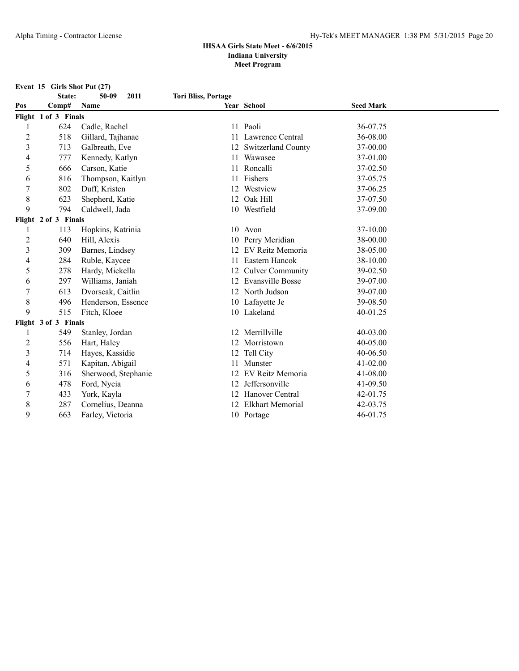**Event 15 Girls Shot Put (27)**

| <b>State:</b> | 50-09 2011 | <b>Tori Bliss, Portage</b> |
|---------------|------------|----------------------------|

| Pos            | Comp#                | Name                |    | Year School             | <b>Seed Mark</b> |  |
|----------------|----------------------|---------------------|----|-------------------------|------------------|--|
|                | Flight 1 of 3 Finals |                     |    |                         |                  |  |
|                | 624                  | Cadle, Rachel       |    | 11 Paoli                | 36-07.75         |  |
| $\overline{c}$ | 518                  | Gillard, Tajhanae   |    | 11 Lawrence Central     | 36-08.00         |  |
| 3              | 713                  | Galbreath, Eve      |    | 12 Switzerland County   | 37-00.00         |  |
| 4              | 777                  | Kennedy, Katlyn     |    | 11 Wawasee              | 37-01.00         |  |
| 5              | 666                  | Carson, Katie       |    | 11 Roncalli             | 37-02.50         |  |
| 6              | 816                  | Thompson, Kaitlyn   | 11 | Fishers                 | 37-05.75         |  |
| 7              | 802                  | Duff, Kristen       |    | 12 Westview             | 37-06.25         |  |
| 8              | 623                  | Shepherd, Katie     |    | 12 Oak Hill             | 37-07.50         |  |
| 9              | 794                  | Caldwell, Jada      |    | 10 Westfield            | 37-09.00         |  |
|                | Flight 2 of 3 Finals |                     |    |                         |                  |  |
|                | 113                  | Hopkins, Katrinia   |    | 10 Avon                 | 37-10.00         |  |
| 2              | 640                  | Hill, Alexis        |    | 10 Perry Meridian       | 38-00.00         |  |
| 3              | 309                  | Barnes, Lindsey     | 12 | EV Reitz Memoria        | 38-05.00         |  |
| 4              | 284                  | Ruble, Kaycee       |    | Eastern Hancok          | 38-10.00         |  |
| 5              | 278                  | Hardy, Mickella     | 12 | <b>Culver Community</b> | 39-02.50         |  |
| 6              | 297                  | Williams, Janiah    |    | 12 Evansville Bosse     | 39-07.00         |  |
| 7              | 613                  | Dvorscak, Caitlin   |    | 12 North Judson         | 39-07.00         |  |
| 8              | 496                  | Henderson, Essence  |    | 10 Lafayette Je         | 39-08.50         |  |
| 9              | 515                  | Fitch, Kloee        |    | 10 Lakeland             | 40-01.25         |  |
|                | Flight 3 of 3 Finals |                     |    |                         |                  |  |
|                | 549                  | Stanley, Jordan     |    | 12 Merrillville         | $40 - 03.00$     |  |
| $\overline{c}$ | 556                  | Hart, Haley         |    | 12 Morristown           | 40-05.00         |  |
| 3              | 714                  | Hayes, Kassidie     |    | 12 Tell City            | 40-06.50         |  |
| 4              | 571                  | Kapitan, Abigail    |    | Munster                 | $41 - 02.00$     |  |
| 5              | 316                  | Sherwood, Stephanie | 12 | EV Reitz Memoria        | 41-08.00         |  |
| 6              | 478                  | Ford, Nycia         | 12 | Jeffersonville          | 41-09.50         |  |
| 7              | 433                  | York, Kayla         |    | 12 Hanover Central      | 42-01.75         |  |
| 8              | 287                  | Cornelius, Deanna   |    | 12 Elkhart Memorial     | 42-03.75         |  |
| 9              | 663                  | Farley, Victoria    |    | 10 Portage              | 46-01.75         |  |